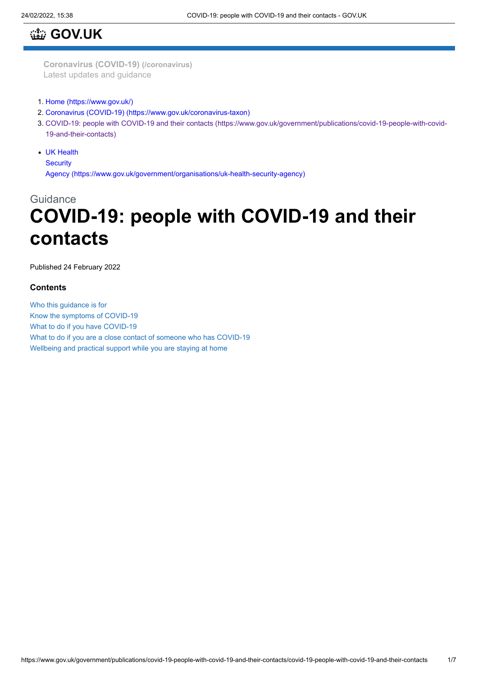# **[GOV.UK](https://www.gov.uk/)**

**[Coronavirus](https://www.gov.uk/coronavirus) (COVID-19) (/coronavirus)** Latest updates and guidance

- 1. [Home \(https://www.gov.uk/\)](https://www.gov.uk/)
- 2. [Coronavirus \(COVID-19\) \(https://www.gov.uk/coronavirus-taxon\)](https://www.gov.uk/coronavirus-taxon)
- 3. [COVID-19: people with COVID-19 and their contacts \(https://www.gov.uk/government/publications/covid-19-people-with-covid-](https://www.gov.uk/government/publications/covid-19-people-with-covid-19-and-their-contacts)19-and-their-contacts)
- UK Health

**Security** 

Agency [\(https://www.gov.uk/government/organisations/uk-health-security-agency\)](https://www.gov.uk/government/organisations/uk-health-security-agency)

# **Guidance**

# **COVID-19: people with COVID-19 and their contacts**

Published 24 February 2022

#### **Contents**

Who this guidance is for Know the symptoms of COVID-19 What to do if you have COVID-19 What to do if you are a close contact of someone who has COVID-19 Wellbeing and practical support while you are staying at home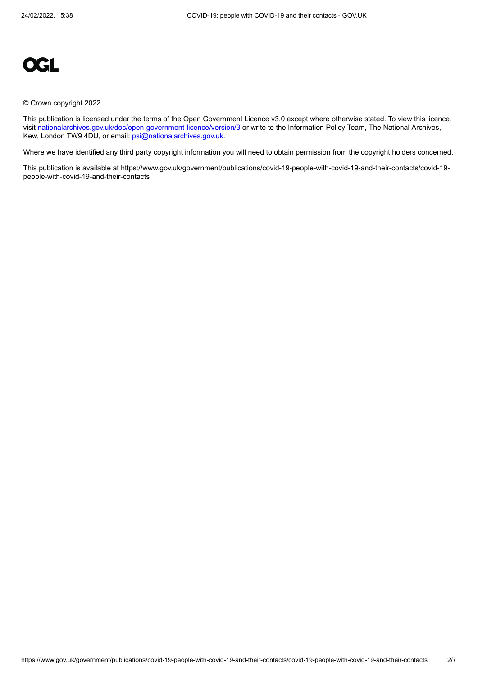

#### © Crown copyright 2022

This publication is licensed under the terms of the Open Government Licence v3.0 except where otherwise stated. To view this licence, visit [nationalarchives.gov.uk/doc/open-government-licence/version/3](https://www.nationalarchives.gov.uk/doc/open-government-licence/version/3) or write to the Information Policy Team, The National Archives, Kew, London TW9 4DU, or email: [psi@nationalarchives.gov.uk](mailto:psi@nationalarchives.gov.uk).

Where we have identified any third party copyright information you will need to obtain permission from the copyright holders concerned.

This publication is available at https://www.gov.uk/government/publications/covid-19-people-with-covid-19-and-their-contacts/covid-19 people-with-covid-19-and-their-contacts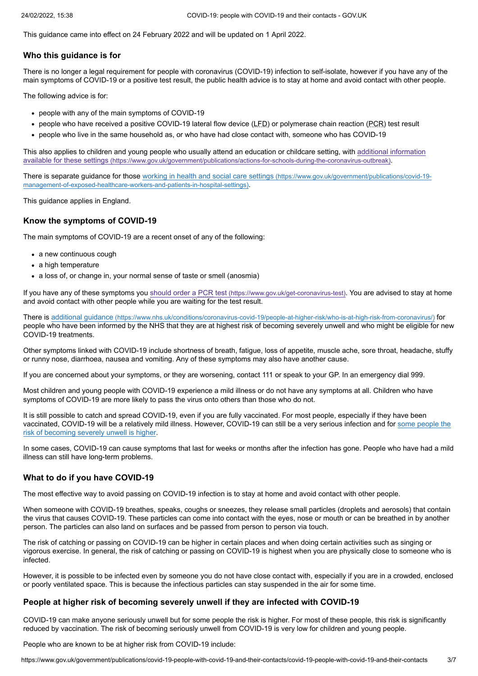This guidance came into effect on 24 February 2022 and will be updated on 1 April 2022.

#### **Who this guidance is for**

There is no longer a legal requirement for people with coronavirus (COVID-19) infection to self-isolate, however if you have any of the main symptoms of COVID-19 or a positive test result, the public health advice is to stay at home and avoid contact with other people.

The following advice is for:

- people with any of the main symptoms of COVID-19
- people who have received a positive COVID-19 lateral flow device (LFD) or polymerase chain reaction (PCR) test result
- people who live in the same household as, or who have had close contact with, someone who has COVID-19

[This also applies to children and young people who usually attend an education or childcare setting, with additional information](https://www.gov.uk/government/publications/actions-for-schools-during-the-coronavirus-outbreak) available for these settings (https://www.gov.uk/government/publications/actions-for-schools-during-the-coronavirus-outbreak).

[There is separate guidance for those working in health and social care settings](https://www.gov.uk/government/publications/covid-19-management-of-exposed-healthcare-workers-and-patients-in-hospital-settings) (https://www.gov.uk/government/publications/covid-19 management-of-exposed-healthcare-workers-and-patients-in-hospital-settings).

This guidance applies in England.

## <span id="page-2-1"></span>**Know the symptoms of COVID-19**

The main symptoms of COVID-19 are a recent onset of any of the following:

- a new continuous cough
- a high temperature
- a loss of, or change in, your normal sense of taste or smell (anosmia)

If you have any of these symptoms you should order a PCR test [\(https://www.gov.uk/get-coronavirus-test\)](https://www.gov.uk/get-coronavirus-test). You are advised to stay at home and avoid contact with other people while you are waiting for the test result.

There is additional guidance [\(https://www.nhs.uk/conditions/coronavirus-covid-19/people-at-higher-risk/who-is-at-high-risk-from-coronavirus/\)](https://www.nhs.uk/conditions/coronavirus-covid-19/people-at-higher-risk/who-is-at-high-risk-from-coronavirus/) for people who have been informed by the NHS that they are at highest risk of becoming severely unwell and who might be eligible for new COVID-19 treatments.

Other symptoms linked with COVID-19 include shortness of breath, fatigue, loss of appetite, muscle ache, sore throat, headache, stuffy or runny nose, diarrhoea, nausea and vomiting. Any of these symptoms may also have another cause.

If you are concerned about your symptoms, or they are worsening, contact 111 or speak to your GP. In an emergency dial 999.

Most children and young people with COVID-19 experience a mild illness or do not have any symptoms at all. Children who have symptoms of COVID-19 are more likely to pass the virus onto others than those who do not.

It is still possible to catch and spread COVID-19, even if you are fully vaccinated. For most people, especially if they have been [vaccinated, COVID-19 will be a relatively mild illness. However, COVID-19 can still be a very serious infection and for some people the](#page-2-0) risk of becoming severely unwell is higher.

In some cases, COVID-19 can cause symptoms that last for weeks or months after the infection has gone. People who have had a mild illness can still have long-term problems.

## **What to do if you have COVID-19**

The most effective way to avoid passing on COVID-19 infection is to stay at home and avoid contact with other people.

When someone with COVID-19 breathes, speaks, coughs or sneezes, they release small particles (droplets and aerosols) that contain the virus that causes COVID-19. These particles can come into contact with the eyes, nose or mouth or can be breathed in by another person. The particles can also land on surfaces and be passed from person to person via touch.

The risk of catching or passing on COVID-19 can be higher in certain places and when doing certain activities such as singing or vigorous exercise. In general, the risk of catching or passing on COVID-19 is highest when you are physically close to someone who is infected.

However, it is possible to be infected even by someone you do not have close contact with, especially if you are in a crowded, enclosed or poorly ventilated space. This is because the infectious particles can stay suspended in the air for some time.

## <span id="page-2-0"></span>**People at higher risk of becoming severely unwell if they are infected with COVID-19**

COVID-19 can make anyone seriously unwell but for some people the risk is higher. For most of these people, this risk is significantly reduced by vaccination. The risk of becoming seriously unwell from COVID-19 is very low for children and young people.

People who are known to be at higher risk from COVID-19 include: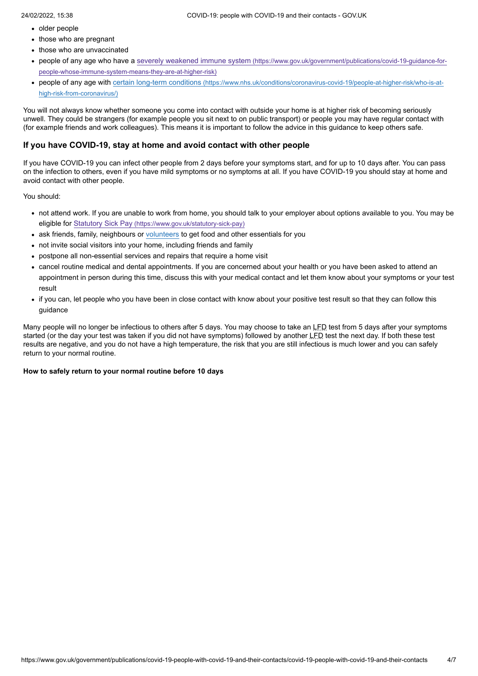- older people
- those who are pregnant
- those who are unvaccinated
- [people of any age who have a severely weakened immune system](https://www.gov.uk/government/publications/covid-19-guidance-for-people-whose-immune-system-means-they-are-at-higher-risk) (https://www.gov.uk/government/publications/covid-19-guidance-forpeople-whose-immune-system-means-they-are-at-higher-risk)
- people of any age with certain long-term conditions [\(https://www.nhs.uk/conditions/coronavirus-covid-19/people-at-higher-risk/who-is-at](https://www.nhs.uk/conditions/coronavirus-covid-19/people-at-higher-risk/who-is-at-high-risk-from-coronavirus/)high-risk-from-coronavirus/)

You will not always know whether someone you come into contact with outside your home is at higher risk of becoming seriously unwell. They could be strangers (for example people you sit next to on public transport) or people you may have regular contact with (for example friends and work colleagues). This means it is important to follow the advice in this guidance to keep others safe.

## <span id="page-3-0"></span>**If you have COVID-19, stay at home and avoid contact with other people**

If you have COVID-19 you can infect other people from 2 days before your symptoms start, and for up to 10 days after. You can pass on the infection to others, even if you have mild symptoms or no symptoms at all. If you have COVID-19 you should stay at home and avoid contact with other people.

You should:

- not attend work. If you are unable to work from home, you should talk to your employer about options available to you. You may be eligible for Statutory Sick Pay [\(https://www.gov.uk/statutory-sick-pay\)](https://www.gov.uk/statutory-sick-pay)
- ask friends, family, neighbours or [volunteers](#page-5-0) to get food and other essentials for you
- not invite social visitors into your home, including friends and family
- postpone all non-essential services and repairs that require a home visit
- cancel routine medical and dental appointments. If you are concerned about your health or you have been asked to attend an appointment in person during this time, discuss this with your medical contact and let them know about your symptoms or your test result
- if you can, let people who you have been in close contact with know about your positive test result so that they can follow this guidance

Many people will no longer be infectious to others after 5 days. You may choose to take an LFD test from 5 days after your symptoms started (or the day your test was taken if you did not have symptoms) followed by another LFD test the next day. If both these test results are negative, and you do not have a high temperature, the risk that you are still infectious is much lower and you can safely return to your normal routine.

#### **How to safely return to your normal routine before 10 days**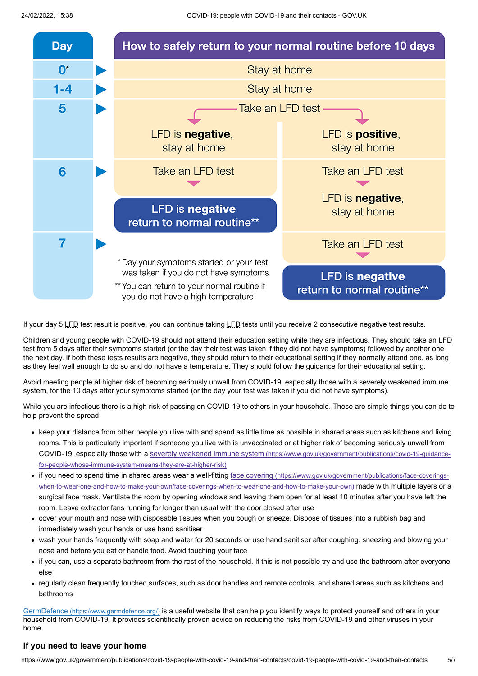

If your day 5 LFD test result is positive, you can continue taking LFD tests until you receive 2 consecutive negative test results.

Children and young people with COVID-19 should not attend their education setting while they are infectious. They should take an LFD test from 5 days after their symptoms started (or the day their test was taken if they did not have symptoms) followed by another one the next day. If both these tests results are negative, they should return to their educational setting if they normally attend one, as long as they feel well enough to do so and do not have a temperature. They should follow the guidance for their educational setting.

Avoid meeting people at higher risk of becoming seriously unwell from COVID-19, especially those with a severely weakened immune system, for the 10 days after your symptoms started (or the day your test was taken if you did not have symptoms).

While you are infectious there is a high risk of passing on COVID-19 to others in your household. These are simple things you can do to help prevent the spread:

- keep your distance from other people you live with and spend as little time as possible in shared areas such as kitchens and living rooms. This is particularly important if someone you live with is unvaccinated or at higher risk of becoming seriously unwell from [COVID-19, especially those with a severely weakened immune system](https://www.gov.uk/government/publications/covid-19-guidance-for-people-whose-immune-system-means-they-are-at-higher-risk) (https://www.gov.uk/government/publications/covid-19-guidancefor-people-whose-immune-system-means-they-are-at-higher-risk)
- if you need to spend time in shared areas wear a well-fitting face covering (https://www.gov.uk/government/publications/face-coverings[when-to-wear-one-and-how-to-make-your-own/face-coverings-when-to-wear-one-and-how-to-make-your-own\)](https://www.gov.uk/government/publications/face-coverings-when-to-wear-one-and-how-to-make-your-own/face-coverings-when-to-wear-one-and-how-to-make-your-own) made with multiple layers or a surgical face mask. Ventilate the room by opening windows and leaving them open for at least 10 minutes after you have left the room. Leave extractor fans running for longer than usual with the door closed after use
- cover your mouth and nose with disposable tissues when you cough or sneeze. Dispose of tissues into a rubbish bag and immediately wash your hands or use hand sanitiser
- wash your hands frequently with soap and water for 20 seconds or use hand sanitiser after coughing, sneezing and blowing your nose and before you eat or handle food. Avoid touching your face
- if you can, use a separate bathroom from the rest of the household. If this is not possible try and use the bathroom after everyone else
- regularly clean frequently touched surfaces, such as door handles and remote controls, and shared areas such as kitchens and bathrooms

GermDefence [\(https://www.germdefence.org/\)](https://www.germdefence.org/) is a useful website that can help you identify ways to protect yourself and others in your household from COVID-19. It provides scientifically proven advice on reducing the risks from COVID-19 and other viruses in your home.

#### **If you need to leave your home**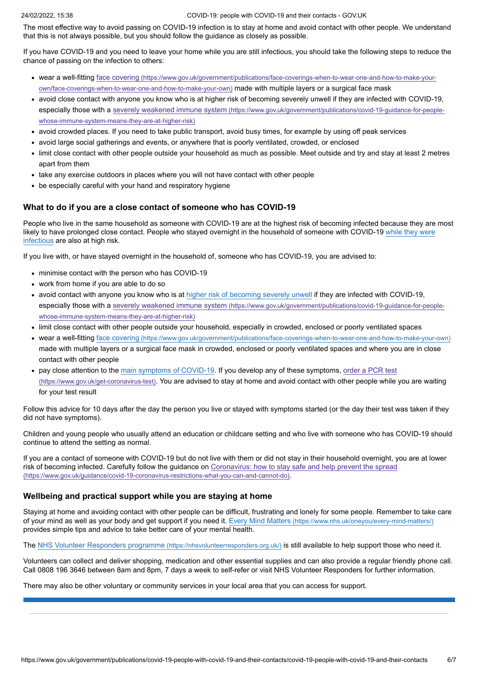The most effective way to avoid passing on COVID-19 infection is to stay at home and avoid contact with other people. We understand that this is not always possible, but you should follow the guidance as closely as possible.

If you have COVID-19 and you need to leave your home while you are still infectious, you should take the following steps to reduce the chance of passing on the infection to others:

- wear a well-fitting face covering [\(https://www.gov.uk/government/publications/face-coverings-when-to-wear-one-and-how-to-make-your](https://www.gov.uk/government/publications/face-coverings-when-to-wear-one-and-how-to-make-your-own/face-coverings-when-to-wear-one-and-how-to-make-your-own)own/face-coverings-when-to-wear-one-and-how-to-make-your-own) made with multiple layers or a surgical face mask
- avoid close contact with anyone you know who is at higher risk of becoming severely unwell if they are infected with COVID-19, especially those with a severely weakened immune system [\(https://www.gov.uk/government/publications/covid-19-guidance-for-people](https://www.gov.uk/government/publications/covid-19-guidance-for-people-whose-immune-system-means-they-are-at-higher-risk)whose-immune-system-means-they-are-at-higher-risk)
- avoid crowded places. If you need to take public transport, avoid busy times, for example by using off peak services
- avoid large social gatherings and events, or anywhere that is poorly ventilated, crowded, or enclosed
- limit close contact with other people outside your household as much as possible. Meet outside and try and stay at least 2 metres apart from them
- take any exercise outdoors in places where you will not have contact with other people
- be especially careful with your hand and respiratory hygiene

#### **What to do if you are a close contact of someone who has COVID-19**

People who live in the same household as someone with COVID-19 are at the highest risk of becoming infected because they are most [likely to have prolonged close contact. People who stayed overnight in the household of someone with COVID-19 while they were](#page-3-0) infectious are also at high risk.

If you live with, or have stayed overnight in the household of, someone who has COVID-19, you are advised to:

- minimise contact with the person who has COVID-19
- work from home if you are able to do so
- avoid contact with anyone you know who is at [higher risk of becoming severely unwell](#page-2-0) if they are infected with COVID-19, especially those with a severely weakened immune system (https://www.gov.uk/government/publications/covid-19-quidance-for-peoplewhose-immune-system-means-they-are-at-higher-risk)
- limit close contact with other people outside your household, especially in crowded, enclosed or poorly ventilated spaces
- wear a well-fitting face covering [\(https://www.gov.uk/government/publications/face-coverings-when-to-wear-one-and-how-to-make-your-own\)](https://www.gov.uk/government/publications/face-coverings-when-to-wear-one-and-how-to-make-your-own) made with multiple layers or a surgical face mask in crowded, enclosed or poorly ventilated spaces and where you are in close contact with other people
- [pay close attention to the main symptoms of COVID-19. If you develop any of these symptoms, order a PCR test](https://www.gov.uk/get-coronavirus-test) (https://www.gov.uk/get-coronavirus-test). You are advised to stay at home and avoid contact with other people while you are waiting for your test result

Follow this advice for 10 days after the day the person you live or stayed with symptoms started (or the day their test was taken if they did not have symptoms).

Children and young people who usually attend an education or childcare setting and who live with someone who has COVID-19 should continue to attend the setting as normal.

If you are a contact of someone with COVID-19 but do not live with them or did not stay in their household overnight, you are at lower [risk of becoming infected. Carefully follow the guidance on Coronavirus: how to stay safe and help prevent the spread](https://www.gov.uk/guidance/covid-19-coronavirus-restrictions-what-you-can-and-cannot-do) (https://www.gov.uk/guidance/covid-19-coronavirus-restrictions-what-you-can-and-cannot-do).

#### **Wellbeing and practical support while you are staying at home**

Staying at home and avoiding contact with other people can be difficult, frustrating and lonely for some people. Remember to take care of your mind as well as your body and get support if you need it. Every Mind Matters [\(https://www.nhs.uk/oneyou/every-mind-matters/\)](https://www.nhs.uk/oneyou/every-mind-matters/) provides simple tips and advice to take better care of your mental health.

<span id="page-5-0"></span>The [NHS Volunteer Responders programme](https://nhsvolunteerresponders.org.uk/) (https://nhsvolunteerresponders.org.uk/) is still available to help support those who need it.

Volunteers can collect and deliver shopping, medication and other essential supplies and can also provide a regular friendly phone call. Call 0808 196 3646 between 8am and 8pm, 7 days a week to self-refer or visit NHS Volunteer Responders for further information.

There may also be other voluntary or community services in your local area that you can access for support.